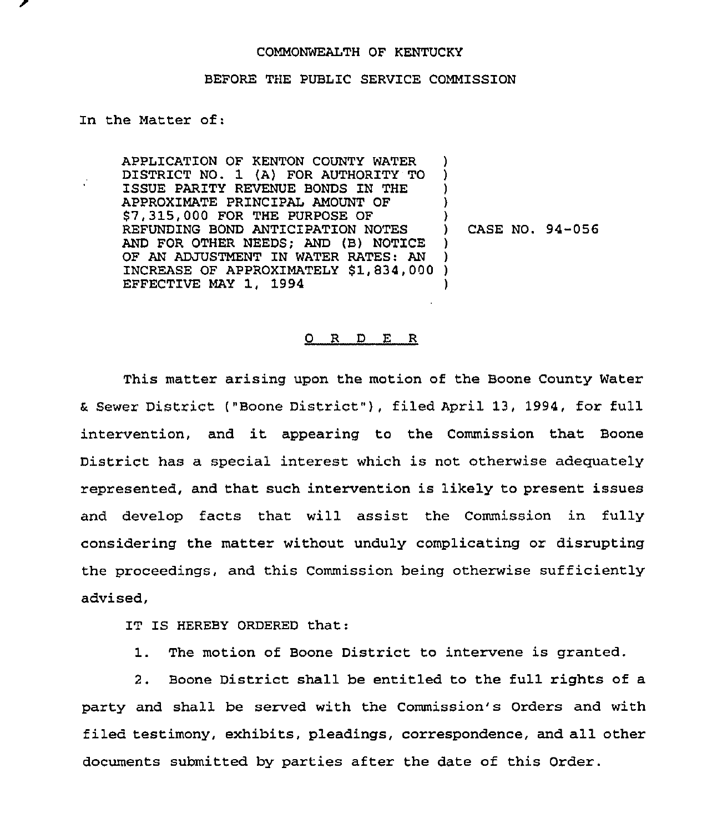## COMMONWEALTH OF KENTUCKY

## BEFORE THE PUBLIC SERVICE COMMISSION

In the Matter of:

APPLICATION OF KENTON COUNTY WATER DISTRICT NO. 1 (A) FOR AUTHORITY TO ISSUE PARITY REVENUE BONDS IN THE APPROXIMATE PRINCIPAL AMOUNT OF \$ 7,315,000 FOR THE PURPOSE OF REFUNDING BOND ANTICIPATION NOTES AND FOR OTHER NEEDS; AND (B) NOTICE OF AN ADJUSTMENT IN WATER RATES: AN OF AN ADJOSTMENT IN WATER RATES: AN J<br>INCREASE OF APPROXIMATELY \$1,834,000 ) EFFECTIVE MAY 1, 1994 ) ) ) ) ) ) )

) ) CASE NO. 94-056

## 0 R <sup>D</sup> E R

This matter arising upon the motion of the Boone County Water t Sewer District ("Boone District" ), filed April 13, 1994, for full intervention, and it appearing to the Commission that Boone District has a special interest which is not otherwise adequately represented, and that such intervention is likely to present issues and develop facts that will assist the Commission in fully considering the matter without unduly complicating or disrupting the proceedings, and this Commission being otherwise sufficiently advised,

IT IS HEREBY ORDERED that:

1. The motion of Boone District to intervene is granted.

2. Boone District shall be entitled to the full rights of a party and shall be served with the Commission's Orders and with filed testimony, exhibits, pleadings, correspondence, and all other documents submitted by parties after the date of this Order.